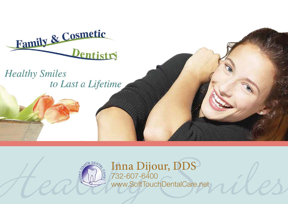

**Healthy Smiles** to Last a Lifetime